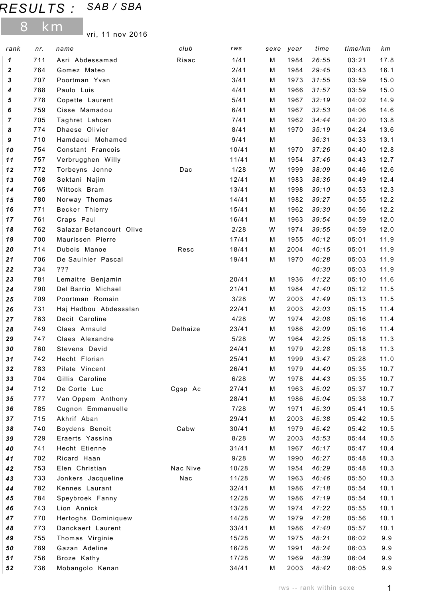## RESULTS : SAB / SBA

8 km

vri, 11 nov 2016

| rank             | nr.        | name                             | club     | rws           | sexe   | year         | time           | time/km        | km           |
|------------------|------------|----------------------------------|----------|---------------|--------|--------------|----------------|----------------|--------------|
| 1                | 711        | Asri Abdessamad                  | Riaac    | 1/41          | М      | 1984         | 26:55          | 03:21          | 17.8         |
| $\boldsymbol{2}$ | 764        | Gomez Mateo                      |          | 2/41          | М      | 1984         | 29:45          | 03:43          | 16.1         |
| 3                | 707        | Poortman Yvan                    |          | 3/41          | М      | 1973         | 31:55          | 03:59          | 15.0         |
| 4                | 788        | Paulo Luis                       |          | 4/41          | М      | 1966         | 31:57          | 03:59          | 15.0         |
| 5                | 778        | Copette Laurent                  |          | 5/41          | М      | 1967         | 32:19          | 04:02          | 14.9         |
| 6                | 759        | Cisse Mamadou                    |          | 6/41          | М      | 1967         | 32:53          | 04:06          | 14.6         |
| $\overline{7}$   | 705        | Taghret Lahcen                   |          | 7/41          | М      | 1962         | 34:44          | 04:20          | 13.8         |
| 8                | 774        | Dhaese Olivier                   |          | 8/41          | М      | 1970         | 35:19          | 04:24          | 13.6         |
| 9                | 710        | Hamdaoui Mohamed                 |          | 9/41          | M      |              | 36:31          | 04:33          | 13.1         |
| 10               | 754        | Constant Francois                |          | 10/41         | M      | 1970         | 37:26          | 04:40          | 12.8         |
| 11               | 757        | Verbrugghen Willy                |          | 11/41         | М      | 1954         | 37:46          | 04:43          | 12.7         |
| 12               | 772        | Torbeyns Jenne                   | Dac      | 1/28          | W      | 1999         | 38:09          | 04:46          | 12.6         |
| 13               | 768        | Sektani Najim                    |          | 12/41         | М      | 1983         | 38:36          | 04:49          | 12.4         |
| 14               | 765        | Wittock Bram                     |          | 13/41         | М      | 1998         | 39:10          | 04:53          | 12.3         |
| 15               | 780        | Norway Thomas                    |          | 14/41         | М      | 1982         | 39:27          | 04:55          | 12.2         |
| 16               | 771        | Becker Thierry                   |          | 15/41         | М      | 1962         | 39:30          | 04:56          | 12.2         |
| $17$             | 761        | Craps Paul                       |          | 16/41         | М      | 1963         | 39:54          | 04:59          | 12.0         |
| 18               | 762        | Salazar Betancourt Olive         |          | 2/28          | W      | 1974         | 39:55          | 04:59          | 12.0         |
| 19               | 700        | Maurissen Pierre                 |          | 17/41         | М      | 1955         | 40:12          | 05:01          | 11.9         |
| 20               | 714        | Dubois Manoe                     | Resc     | 18/41         | М      | 2004         | 40:15          | 05:01          | 11.9         |
| 21               | 706        | De Saulnier Pascal               |          | 19/41         | М      | 1970         | 40:28          | 05:03          | 11.9         |
| 22               | 734        | ???                              |          |               |        |              | 40:30          | 05:03          | 11.9         |
| 23               | 781        | Lemaitre Benjamin                |          | 20/41         | М      | 1936         | 41:22          | 05:10          | 11.6         |
| 24               | 790        | Del Barrio Michael               |          | 21/41         | М      | 1984         | 41:40          | 05:12          | 11.5         |
| 25               | 709        | Poortman Romain                  |          | 3/28          | W      | 2003         | 41:49          | 05:13          | 11.5         |
| 26               | 731        | Haj Hadbou Abdessalan            |          | 22/41         | М      | 2003         | 42:03          | 05:15          | 11.4         |
| 27               | 763        | Decit Caroline                   |          | 4/28          | W      | 1974         | 42:08          | 05:16          | 11.4         |
| 28               | 749        | Claes Arnauld                    | Delhaize | 23/41         | М      | 1986         | 42:09          | 05:16          | 11.4         |
| 29               | 747        | Claes Alexandre                  |          | 5/28          | W      | 1964         | 42:25          | 05:18          | 11.3         |
| 30               | 760        | Stevens David                    |          | 24/41         | М      | 1979         | 42:28          | 05:18          | 11.3         |
| 31               | 742        | Hecht Florian                    |          | 25/41         | M      | 1999         | 43:47          | 05:28          | 11.0         |
| 32               | 783        | Pilate Vincent                   |          | 26/41         | м      | 1979         | 44:40          | 05:35          | 10.7         |
| 33               | 704        | Gillis Caroline                  |          | 6/28          | W      | 1978         | 44:43          | 05:35          | 10.7         |
| 34               | 712        | De Corte Luc                     | Cgsp Ac  | 27/41         | м      | 1963         | 45:02          | 05:37          | 10.7         |
| 35               | 777<br>785 | Van Oppem Anthony                |          | 28/41<br>7/28 | м<br>W | 1986<br>1971 | 45:04<br>45:30 | 05:38          | 10.7         |
| 36<br>37         | 715        | Cugnon Emmanuelle<br>Akhrif Aban |          | 29/41         | М      | 2003         | 45:38          | 05:41<br>05:42 | 10.5<br>10.5 |
| 38               | 740        | Boydens Benoit                   | Cabw     | 30/41         | М      | 1979         | 45:42          | 05:42          | 10.5         |
| 39               | 729        | Eraerts Yassina                  |          | 8/28          | W      | 2003         | 45:53          | 05:44          | 10.5         |
| 40               | 741        | Hecht Etienne                    |          | 31/41         | М      | 1967         | 46:17          | 05:47          | 10.4         |
| 41               | 702        | Ricard Haan                      |          | 9/28          | W      | 1990         | 46:27          | 05:48          | 10.3         |
| 42               | 753        | Elen Christian                   | Nac Nive | 10/28         | W      | 1954         | 46:29          | 05:48          | 10.3         |
| 43               | 733        | Jonkers Jacqueline               | Nac      | 11/28         | W      | 1963         | 46:46          | 05:50          | 10.3         |
| 44               | 782        | Kennes Laurant                   |          | 32/41         | м      | 1986         | 47:18          | 05:54          | 10.1         |
| 45               | 784        | Speybroek Fanny                  |          | 12/28         | W      | 1986         | 47:19          | 05:54          | 10.1         |
| 46               | 743        | Lion Annick                      |          | 13/28         | W      | 1974         | 47:22          | 05:55          | 10.1         |
| 47               | 770        | Hertoghs Dominiquew              |          | 14/28         | W      | 1979         | 47:28          | 05:56          | 10.1         |
| 48               | 773        | Danckaert Laurent                |          | 33/41         | М      | 1986         | 47:40          | 05:57          | 10.1         |
| 49               | 755        | Thomas Virginie                  |          | 15/28         | W      | 1975         | 48:21          | 06:02          | 9.9          |
| 50               | 789        | Gazan Adeline                    |          | 16/28         | W      | 1991         | 48:24          | 06:03          | 9.9          |
| 51               | 756        | Broze Kathy                      |          | 17/28         | W      | 1969         | 48:39          | 06:04          | 9.9          |
| 52               | 736        | Mobangolo Kenan                  |          | 34/41         | М      | 2003         | 48:42          | 06:05          | 9.9          |
|                  |            |                                  |          |               |        |              |                |                |              |